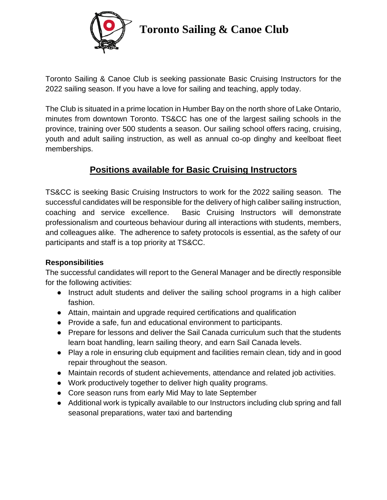

## **Toronto Sailing & Canoe Club**

Toronto Sailing & Canoe Club is seeking passionate Basic Cruising Instructors for the 2022 sailing season. If you have a love for sailing and teaching, apply today.

The Club is situated in a prime location in Humber Bay on the north shore of Lake Ontario, minutes from downtown Toronto. TS&CC has one of the largest sailing schools in the province, training over 500 students a season. Our sailing school offers racing, cruising, youth and adult sailing instruction, as well as annual co-op dinghy and keelboat fleet memberships.

### **Positions available for Basic Cruising Instructors**

TS&CC is seeking Basic Cruising Instructors to work for the 2022 sailing season. The successful candidates will be responsible for the delivery of high caliber sailing instruction, coaching and service excellence. Basic Cruising Instructors will demonstrate professionalism and courteous behaviour during all interactions with students, members, and colleagues alike. The adherence to safety protocols is essential, as the safety of our participants and staff is a top priority at TS&CC.

#### **Responsibilities**

The successful candidates will report to the General Manager and be directly responsible for the following activities:

- Instruct adult students and deliver the sailing school programs in a high caliber fashion.
- Attain, maintain and upgrade required certifications and qualification
- Provide a safe, fun and educational environment to participants.
- Prepare for lessons and deliver the Sail Canada curriculum such that the students learn boat handling, learn sailing theory, and earn Sail Canada levels.
- Play a role in ensuring club equipment and facilities remain clean, tidy and in good repair throughout the season.
- Maintain records of student achievements, attendance and related job activities.
- Work productively together to deliver high quality programs.
- Core season runs from early Mid May to late September
- Additional work is typically available to our Instructors including club spring and fall seasonal preparations, water taxi and bartending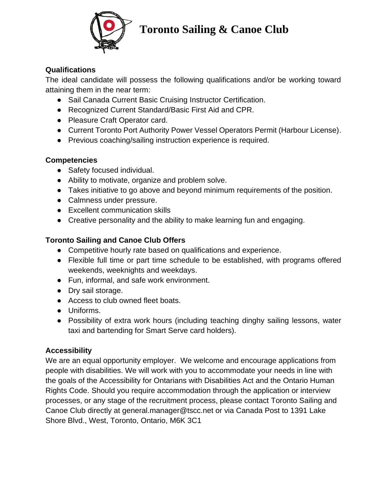

## **Toronto Sailing & Canoe Club**

#### **Qualifications**

The ideal candidate will possess the following qualifications and/or be working toward attaining them in the near term:

- Sail Canada Current Basic Cruising Instructor Certification.
- Recognized Current Standard/Basic First Aid and CPR.
- Pleasure Craft Operator card.
- Current Toronto Port Authority Power Vessel Operators Permit (Harbour License).
- Previous coaching/sailing instruction experience is required.

#### **Competencies**

- Safety focused individual.
- Ability to motivate, organize and problem solve.
- Takes initiative to go above and beyond minimum requirements of the position.
- Calmness under pressure.
- Excellent communication skills
- Creative personality and the ability to make learning fun and engaging.

#### **Toronto Sailing and Canoe Club Offers**

- Competitive hourly rate based on qualifications and experience.
- Flexible full time or part time schedule to be established, with programs offered weekends, weeknights and weekdays.
- Fun, informal, and safe work environment.
- Dry sail storage.
- Access to club owned fleet boats.
- Uniforms.
- Possibility of extra work hours (including teaching dinghy sailing lessons, water taxi and bartending for Smart Serve card holders).

#### **Accessibility**

We are an equal opportunity employer. We welcome and encourage applications from people with disabilities. We will work with you to accommodate your needs in line with the goals of the Accessibility for Ontarians with Disabilities Act and the Ontario Human Rights Code. Should you require accommodation through the application or interview processes, or any stage of the recruitment process, please contact Toronto Sailing and Canoe Club directly at general.manager@tscc.net or via Canada Post to 1391 Lake Shore Blvd., West, Toronto, Ontario, M6K 3C1